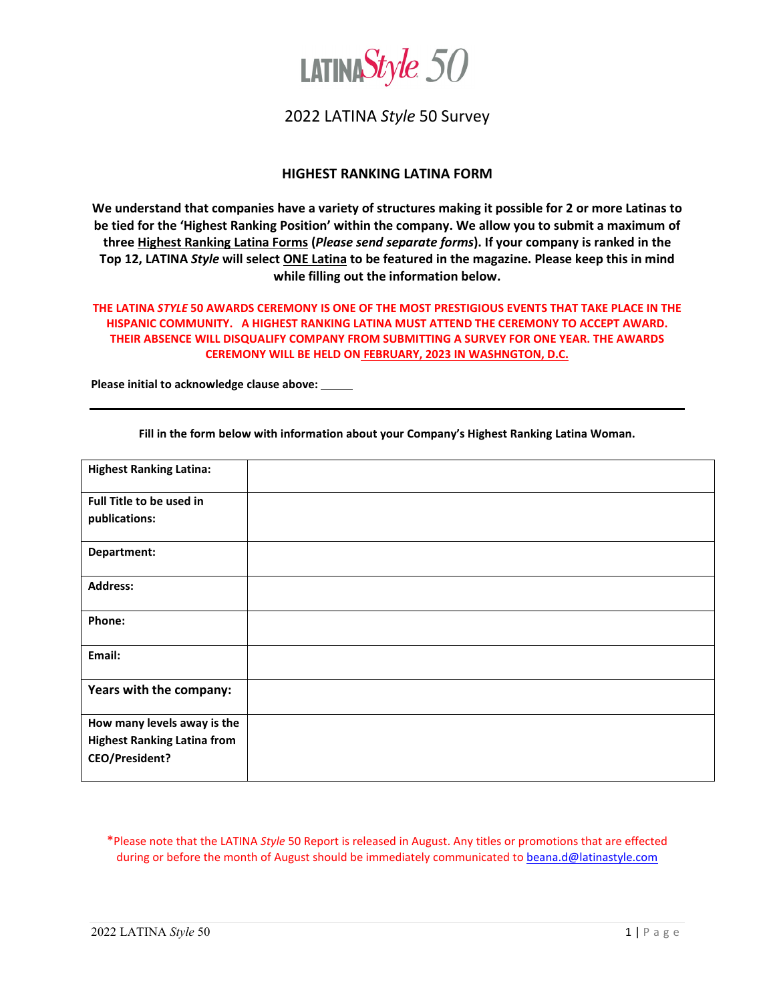

### 2022 LATINA *Style* 50 Survey

#### **HIGHEST RANKING LATINA FORM**

**We understand that companies have a variety of structures making it possible for 2 or more Latinas to be tied for the 'Highest Ranking Position' within the company. We allow you to submit a maximum of three Highest Ranking Latina Forms (***Please send separate forms***). If your company is ranked in the Top 12, LATINA** *Style* **will select ONE Latina to be featured in the magazine. Please keep this in mind while filling out the information below.**

#### **THE LATINA** *STYLE* **50 AWARDS CEREMONY IS ONE OF THE MOST PRESTIGIOUS EVENTS THAT TAKE PLACE IN THE HISPANIC COMMUNITY. A HIGHEST RANKING LATINA MUST ATTEND THE CEREMONY TO ACCEPT AWARD. THEIR ABSENCE WILL DISQUALIFY COMPANY FROM SUBMITTING A SURVEY FOR ONE YEAR. THE AWARDS CEREMONY WILL BE HELD ON FEBRUARY, 2023 IN WASHNGTON, D.C.**

**Please initial to acknowledge clause above:** 

| <b>Highest Ranking Latina:</b>     |  |
|------------------------------------|--|
| Full Title to be used in           |  |
| publications:                      |  |
| Department:                        |  |
|                                    |  |
| <b>Address:</b>                    |  |
| Phone:                             |  |
|                                    |  |
| Email:                             |  |
|                                    |  |
| Years with the company:            |  |
|                                    |  |
| How many levels away is the        |  |
| <b>Highest Ranking Latina from</b> |  |
| <b>CEO/President?</b>              |  |
|                                    |  |

**Fill in the form below with information about your Company's Highest Ranking Latina Woman.** 

\*Please note that the LATINA *Style* 50 Report is released in August. Any titles or promotions that are effected during or before the month of August should be immediately communicated to [beana.d@latinastyle.com](mailto:beana.d@latinastyle.com)